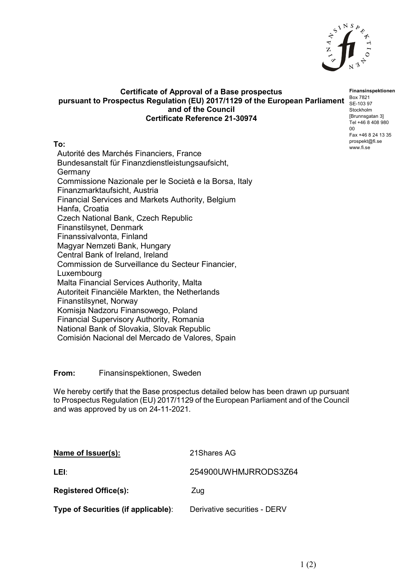

## **Certificate of Approval of a Base prospectus** pursuant to Prospectus Regulation (EU) 2017/1129 of the European Parliament **Box 7821 and of the Council Certificate Reference 21-30974**

**To:**

Autorité des Marchés Financiers, France Bundesanstalt für Finanzdienstleistungsaufsicht, Germany Commissione Nazionale per le Società e la Borsa, Italy Finanzmarktaufsicht, Austria Financial Services and Markets Authority, Belgium Hanfa, Croatia Czech National Bank, Czech Republic Finanstilsynet, Denmark Finanssivalvonta, Finland Magyar Nemzeti Bank, Hungary Central Bank of Ireland, Ireland Commission de Surveillance du Secteur Financier, Luxembourg Malta Financial Services Authority, Malta Autoriteit Financiële Markten, the Netherlands Finanstilsynet, Norway Komisja Nadzoru Finansowego, Poland Financial Supervisory Authority, Romania National Bank of Slovakia, Slovak Republic Comisión Nacional del Mercado de Valores, Spain

## **From:** Finansinspektionen, Sweden

We hereby certify that the Base prospectus detailed below has been drawn up pursuant to Prospectus Regulation (EU) 2017/1129 of the European Parliament and of the Council and was approved by us on 24-11-2021.

| Name of Issuer(s):                  | 21 Shares AG                 |
|-------------------------------------|------------------------------|
| LEI:                                | 254900UWHMJRRODS3Z64         |
| <b>Registered Office(s):</b>        | Zug                          |
| Type of Securities (if applicable): | Derivative securities - DERV |

**Finansinspektionen** SE-103 97 Stockholm [Brunnsgatan 3] Tel +46 8 408 980 00 Fax +46 8 24 13 35 prospekt@fi.se www.fi.se